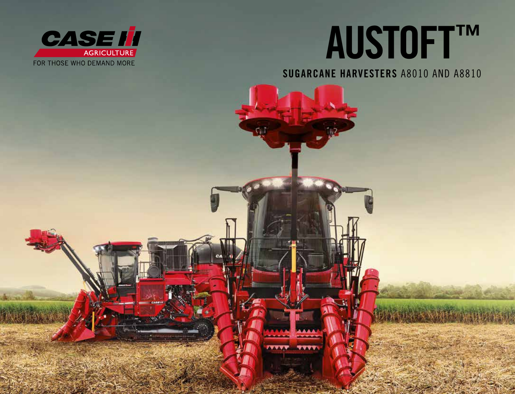

## AUSTOFT™

SUGARCANE HARVESTERS A8010 AND A8810